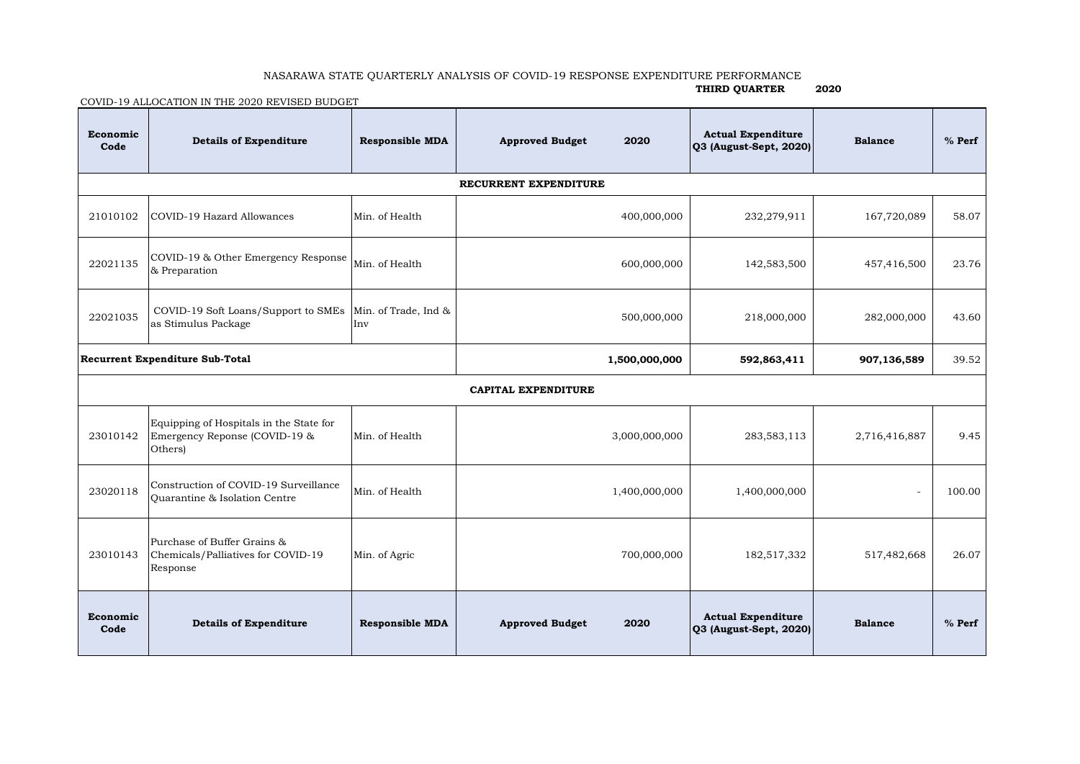## NASARAWA STATE QUARTERLY ANALYSIS OF COVID-19 RESPONSE EXPENDITURE PERFORMANCE

**THIRD QUARTER 2020**

COVID-19 ALLOCATION IN THE 2020 REVISED BUDGET

| Economic<br>Code                | <b>Details of Expenditure</b>                                                       | <b>Responsible MDA</b>      | 2020<br><b>Approved Budget</b> | <b>Actual Expenditure</b><br>Q3 (August-Sept, 2020) | <b>Balance</b> | $%$ Perf |  |  |  |  |  |
|---------------------------------|-------------------------------------------------------------------------------------|-----------------------------|--------------------------------|-----------------------------------------------------|----------------|----------|--|--|--|--|--|
| RECURRENT EXPENDITURE           |                                                                                     |                             |                                |                                                     |                |          |  |  |  |  |  |
| 21010102                        | COVID-19 Hazard Allowances                                                          | Min. of Health              | 400,000,000                    | 232,279,911                                         | 167,720,089    | 58.07    |  |  |  |  |  |
| 22021135                        | COVID-19 & Other Emergency Response<br>& Preparation                                | Min. of Health              | 600,000,000                    | 142,583,500                                         | 457,416,500    | 23.76    |  |  |  |  |  |
| 22021035                        | COVID-19 Soft Loans/Support to SMEs<br>as Stimulus Package                          | Min. of Trade, Ind &<br>Inv | 500,000,000                    | 218,000,000                                         | 282,000,000    | 43.60    |  |  |  |  |  |
| Recurrent Expenditure Sub-Total |                                                                                     |                             | 1,500,000,000                  | 592,863,411                                         | 907,136,589    | 39.52    |  |  |  |  |  |
| CAPITAL EXPENDITURE             |                                                                                     |                             |                                |                                                     |                |          |  |  |  |  |  |
| 23010142                        | Equipping of Hospitals in the State for<br>Emergency Reponse (COVID-19 &<br>Others) | Min. of Health              | 3,000,000,000                  | 283,583,113                                         | 2,716,416,887  | 9.45     |  |  |  |  |  |
| 23020118                        | Construction of COVID-19 Surveillance<br>Quarantine & Isolation Centre              | Min. of Health              | 1,400,000,000                  | 1,400,000,000                                       |                | 100.00   |  |  |  |  |  |
| 23010143                        | Purchase of Buffer Grains &<br>Chemicals/Palliatives for COVID-19<br>Response       | Min. of Agric               | 700,000,000                    | 182,517,332                                         | 517,482,668    | 26.07    |  |  |  |  |  |
| Economic<br>Code                | <b>Details of Expenditure</b>                                                       | <b>Responsible MDA</b>      | 2020<br><b>Approved Budget</b> | <b>Actual Expenditure</b><br>Q3 (August-Sept, 2020) | <b>Balance</b> | $%$ Perf |  |  |  |  |  |